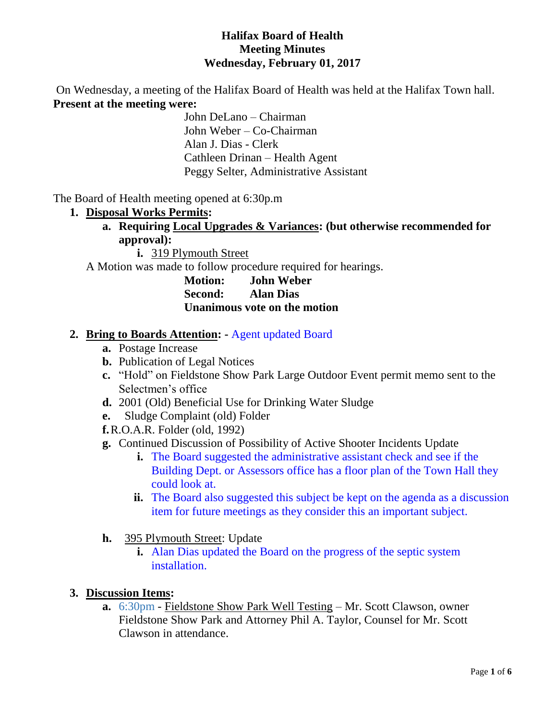### **Halifax Board of Health Meeting Minutes Wednesday, February 01, 2017**

On Wednesday, a meeting of the Halifax Board of Health was held at the Halifax Town hall. **Present at the meeting were:**

John DeLano – Chairman John Weber – Co-Chairman Alan J. Dias - Clerk Cathleen Drinan – Health Agent Peggy Selter, Administrative Assistant

The Board of Health meeting opened at 6:30p.m

- **1. Disposal Works Permits:** 
	- **a. Requiring Local Upgrades & Variances: (but otherwise recommended for approval):**

**i.** 319 Plymouth Street

A Motion was made to follow procedure required for hearings.

**Motion: John Weber Second: Alan Dias Unanimous vote on the motion**

#### **2. Bring to Boards Attention: -** Agent updated Board

- **a.** Postage Increase
- **b.** Publication of Legal Notices
- **c.** "Hold" on Fieldstone Show Park Large Outdoor Event permit memo sent to the Selectmen's office
- **d.** 2001 (Old) Beneficial Use for Drinking Water Sludge
- **e.** Sludge Complaint (old) Folder
- **f.**R.O.A.R. Folder (old, 1992)
- **g.** Continued Discussion of Possibility of Active Shooter Incidents Update
	- **i.** The Board suggested the administrative assistant check and see if the Building Dept. or Assessors office has a floor plan of the Town Hall they could look at.
	- **ii.** The Board also suggested this subject be kept on the agenda as a discussion item for future meetings as they consider this an important subject.
- **h.** 395 Plymouth Street: Update
	- **i.** Alan Dias updated the Board on the progress of the septic system installation.

#### **3. Discussion Items:**

**a.** 6:30pm - Fieldstone Show Park Well Testing – Mr. Scott Clawson, owner Fieldstone Show Park and Attorney Phil A. Taylor, Counsel for Mr. Scott Clawson in attendance.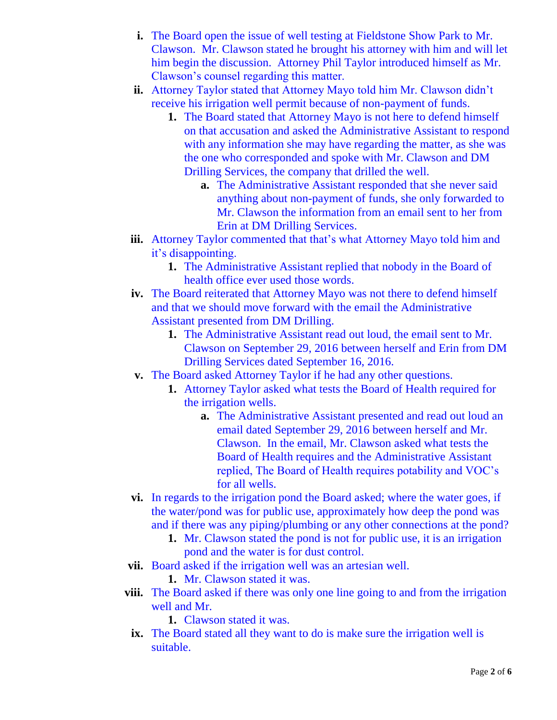- **i.** The Board open the issue of well testing at Fieldstone Show Park to Mr. Clawson. Mr. Clawson stated he brought his attorney with him and will let him begin the discussion. Attorney Phil Taylor introduced himself as Mr. Clawson's counsel regarding this matter.
- **ii.** Attorney Taylor stated that Attorney Mayo told him Mr. Clawson didn't receive his irrigation well permit because of non-payment of funds.
	- **1.** The Board stated that Attorney Mayo is not here to defend himself on that accusation and asked the Administrative Assistant to respond with any information she may have regarding the matter, as she was the one who corresponded and spoke with Mr. Clawson and DM Drilling Services, the company that drilled the well.
		- **a.** The Administrative Assistant responded that she never said anything about non-payment of funds, she only forwarded to Mr. Clawson the information from an email sent to her from Erin at DM Drilling Services.
- **iii.** Attorney Taylor commented that that's what Attorney Mayo told him and it's disappointing.
	- **1.** The Administrative Assistant replied that nobody in the Board of health office ever used those words.
- **iv.** The Board reiterated that Attorney Mayo was not there to defend himself and that we should move forward with the email the Administrative Assistant presented from DM Drilling.
	- **1.** The Administrative Assistant read out loud, the email sent to Mr. Clawson on September 29, 2016 between herself and Erin from DM Drilling Services dated September 16, 2016.
- **v.** The Board asked Attorney Taylor if he had any other questions.
	- **1.** Attorney Taylor asked what tests the Board of Health required for the irrigation wells.
		- **a.** The Administrative Assistant presented and read out loud an email dated September 29, 2016 between herself and Mr. Clawson. In the email, Mr. Clawson asked what tests the Board of Health requires and the Administrative Assistant replied, The Board of Health requires potability and VOC's for all wells.
- **vi.** In regards to the irrigation pond the Board asked; where the water goes, if the water/pond was for public use, approximately how deep the pond was and if there was any piping/plumbing or any other connections at the pond?
	- **1.** Mr. Clawson stated the pond is not for public use, it is an irrigation pond and the water is for dust control.
- **vii.** Board asked if the irrigation well was an artesian well.
	- **1.** Mr. Clawson stated it was.
- **viii.** The Board asked if there was only one line going to and from the irrigation well and Mr.
	- **1.** Clawson stated it was.
- **ix.** The Board stated all they want to do is make sure the irrigation well is suitable.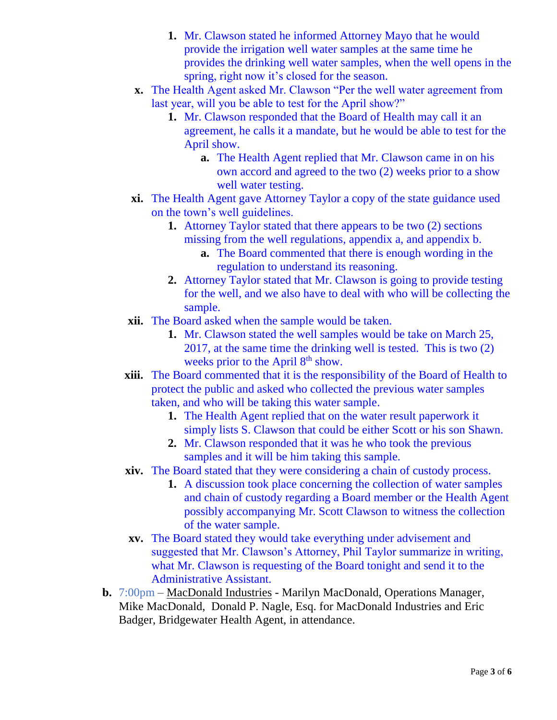- **1.** Mr. Clawson stated he informed Attorney Mayo that he would provide the irrigation well water samples at the same time he provides the drinking well water samples, when the well opens in the spring, right now it's closed for the season.
- **x.** The Health Agent asked Mr. Clawson "Per the well water agreement from last year, will you be able to test for the April show?"
	- **1.** Mr. Clawson responded that the Board of Health may call it an agreement, he calls it a mandate, but he would be able to test for the April show.
		- **a.** The Health Agent replied that Mr. Clawson came in on his own accord and agreed to the two (2) weeks prior to a show well water testing.
- **xi.** The Health Agent gave Attorney Taylor a copy of the state guidance used on the town's well guidelines.
	- **1.** Attorney Taylor stated that there appears to be two (2) sections missing from the well regulations, appendix a, and appendix b.
		- **a.** The Board commented that there is enough wording in the regulation to understand its reasoning.
	- **2.** Attorney Taylor stated that Mr. Clawson is going to provide testing for the well, and we also have to deal with who will be collecting the sample.
- **xii.** The Board asked when the sample would be taken.
	- **1.** Mr. Clawson stated the well samples would be take on March 25, 2017, at the same time the drinking well is tested. This is two (2) weeks prior to the April 8<sup>th</sup> show.
- **xiii.** The Board commented that it is the responsibility of the Board of Health to protect the public and asked who collected the previous water samples taken, and who will be taking this water sample.
	- **1.** The Health Agent replied that on the water result paperwork it simply lists S. Clawson that could be either Scott or his son Shawn.
	- **2.** Mr. Clawson responded that it was he who took the previous samples and it will be him taking this sample.
- **xiv.** The Board stated that they were considering a chain of custody process.
	- **1.** A discussion took place concerning the collection of water samples and chain of custody regarding a Board member or the Health Agent possibly accompanying Mr. Scott Clawson to witness the collection of the water sample.
- **xv.** The Board stated they would take everything under advisement and suggested that Mr. Clawson's Attorney, Phil Taylor summarize in writing, what Mr. Clawson is requesting of the Board tonight and send it to the Administrative Assistant.
- **b.** 7:00pm MacDonald Industries Marilyn MacDonald, Operations Manager, Mike MacDonald, Donald P. Nagle, Esq. for MacDonald Industries and Eric Badger, Bridgewater Health Agent, in attendance.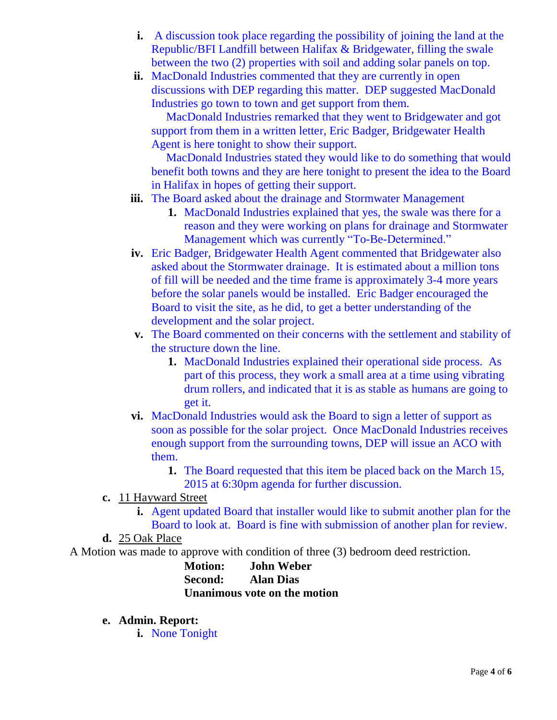- **i.** A discussion took place regarding the possibility of joining the land at the Republic/BFI Landfill between Halifax & Bridgewater, filling the swale between the two (2) properties with soil and adding solar panels on top.
- **ii.** MacDonald Industries commented that they are currently in open discussions with DEP regarding this matter. DEP suggested MacDonald Industries go town to town and get support from them.

 MacDonald Industries remarked that they went to Bridgewater and got support from them in a written letter, Eric Badger, Bridgewater Health Agent is here tonight to show their support.

 MacDonald Industries stated they would like to do something that would benefit both towns and they are here tonight to present the idea to the Board in Halifax in hopes of getting their support.

- **iii.** The Board asked about the drainage and Stormwater Management
	- **1.** MacDonald Industries explained that yes, the swale was there for a reason and they were working on plans for drainage and Stormwater Management which was currently "To-Be-Determined."
- **iv.** Eric Badger, Bridgewater Health Agent commented that Bridgewater also asked about the Stormwater drainage. It is estimated about a million tons of fill will be needed and the time frame is approximately 3-4 more years before the solar panels would be installed. Eric Badger encouraged the Board to visit the site, as he did, to get a better understanding of the development and the solar project.
- **v.** The Board commented on their concerns with the settlement and stability of the structure down the line.
	- **1.** MacDonald Industries explained their operational side process. As part of this process, they work a small area at a time using vibrating drum rollers, and indicated that it is as stable as humans are going to get it.
- **vi.** MacDonald Industries would ask the Board to sign a letter of support as soon as possible for the solar project. Once MacDonald Industries receives enough support from the surrounding towns, DEP will issue an ACO with them.
	- **1.** The Board requested that this item be placed back on the March 15, 2015 at 6:30pm agenda for further discussion.
- **c.** 11 Hayward Street
	- **i.** Agent updated Board that installer would like to submit another plan for the Board to look at. Board is fine with submission of another plan for review.

### **d.** 25 Oak Place

A Motion was made to approve with condition of three (3) bedroom deed restriction.

**Motion: John Weber Second: Alan Dias Unanimous vote on the motion**

- **e. Admin. Report:**
	- **i.** None Tonight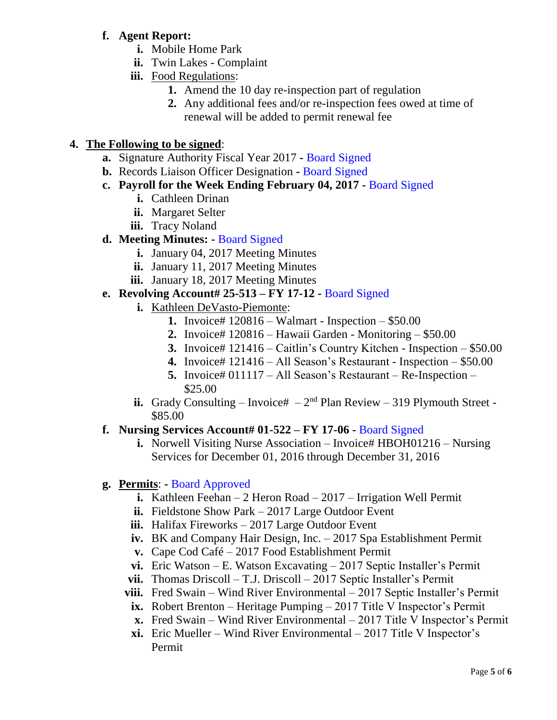### **f. Agent Report:**

- **i.** Mobile Home Park
- **ii.** Twin Lakes Complaint
- **iii.** Food Regulations:
	- **1.** Amend the 10 day re-inspection part of regulation
	- **2.** Any additional fees and/or re-inspection fees owed at time of renewal will be added to permit renewal fee

# **4. The Following to be signed**:

- **a.** Signature Authority Fiscal Year 2017 **-** Board Signed
- **b.** Records Liaison Officer Designation **-** Board Signed
- **c. Payroll for the Week Ending February 04, 2017 -** Board Signed
	- **i.** Cathleen Drinan
	- **ii.** Margaret Selter
	- **iii.** Tracy Noland
- **d. Meeting Minutes: -** Board Signed
	- **i.** January 04, 2017 Meeting Minutes
	- **ii.** January 11, 2017 Meeting Minutes
	- **iii.** January 18, 2017 Meeting Minutes

# **e. Revolving Account# 25-513 – FY 17-12 -** Board Signed

- **i.** Kathleen DeVasto-Piemonte:
	- **1.** Invoice# 120816 Walmart Inspection \$50.00
	- **2.** Invoice# 120816 Hawaii Garden Monitoring \$50.00
	- **3.** Invoice# 121416 Caitlin's Country Kitchen Inspection \$50.00
	- **4.** Invoice# 121416 All Season's Restaurant Inspection \$50.00
	- **5.** Invoice# 011117 All Season's Restaurant Re-Inspection \$25.00
- **ii.** Grady Consulting Invoice#  $-2<sup>nd</sup>$  Plan Review 319 Plymouth Street -\$85.00

# **f. Nursing Services Account# 01-522 – FY 17-06 -** Board Signed

**i.** Norwell Visiting Nurse Association – Invoice# HBOH01216 – Nursing Services for December 01, 2016 through December 31, 2016

# **g. Permits**: **-** Board Approved

- **i.** Kathleen Feehan 2 Heron Road 2017 Irrigation Well Permit
- **ii.** Fieldstone Show Park 2017 Large Outdoor Event
- iii. Halifax Fireworks 2017 Large Outdoor Event
- **iv.** BK and Company Hair Design, Inc. 2017 Spa Establishment Permit
- **v.** Cape Cod Café 2017 Food Establishment Permit
- **vi.** Eric Watson E. Watson Excavating 2017 Septic Installer's Permit
- **vii.** Thomas Driscoll T.J. Driscoll 2017 Septic Installer's Permit
- **viii.** Fred Swain Wind River Environmental 2017 Septic Installer's Permit
	- **ix.** Robert Brenton Heritage Pumping 2017 Title V Inspector's Permit
	- **x.** Fred Swain Wind River Environmental 2017 Title V Inspector's Permit
	- **xi.** Eric Mueller Wind River Environmental 2017 Title V Inspector's Permit